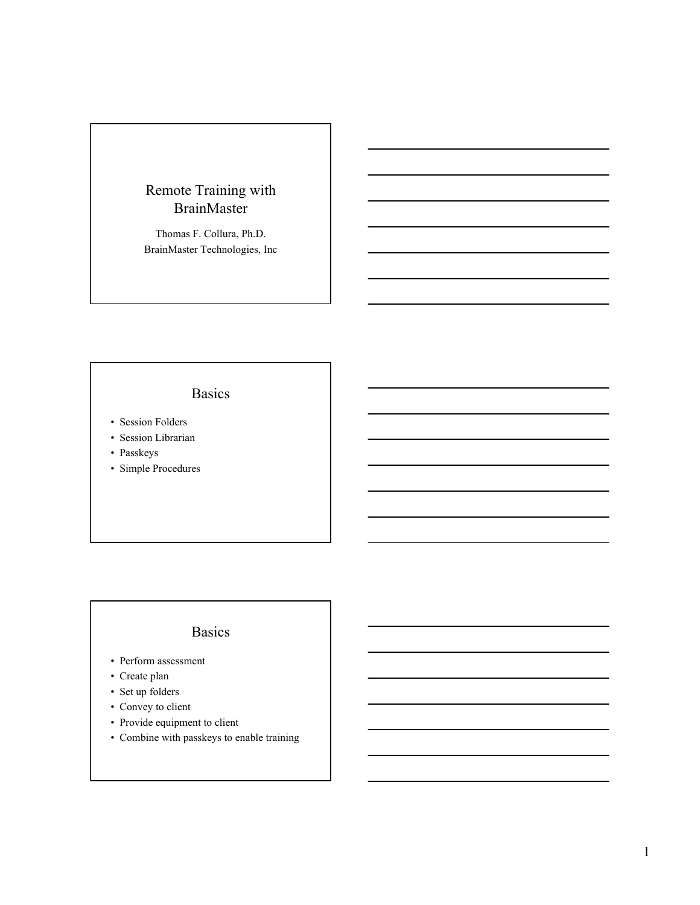#### Remote Training with BrainMaster

Thomas F. Collura, Ph.D. BrainMaster Technologies, Inc

# Basics

- Session Folders
- Session Librarian
- Passkeys
- Simple Procedures

# Basics

- Perform assessment
- Create plan
- Set up folders
- Convey to client
- Provide equipment to client
- Combine with passkeys to enable training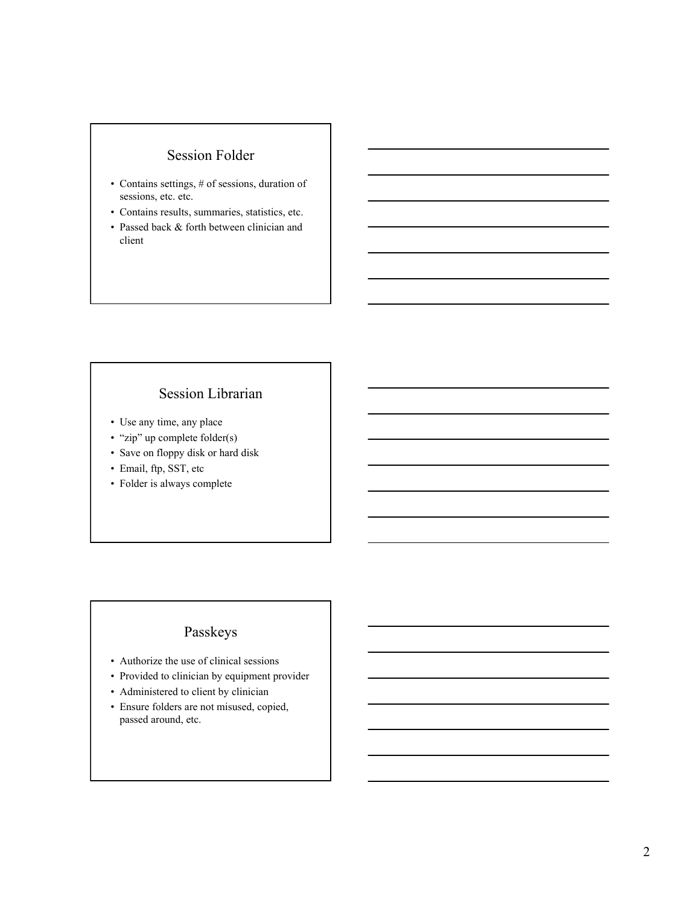#### Session Folder

- Contains settings, # of sessions, duration of sessions, etc. etc.
- Contains results, summaries, statistics, etc.
- Passed back & forth between clinician and client

## Session Librarian

- Use any time, any place
- "zip" up complete folder(s)
- Save on floppy disk or hard disk
- Email, ftp, SST, etc
- Folder is always complete

## Passkeys

- Authorize the use of clinical sessions
- Provided to clinician by equipment provider
- Administered to client by clinician
- Ensure folders are not misused, copied, passed around, etc.